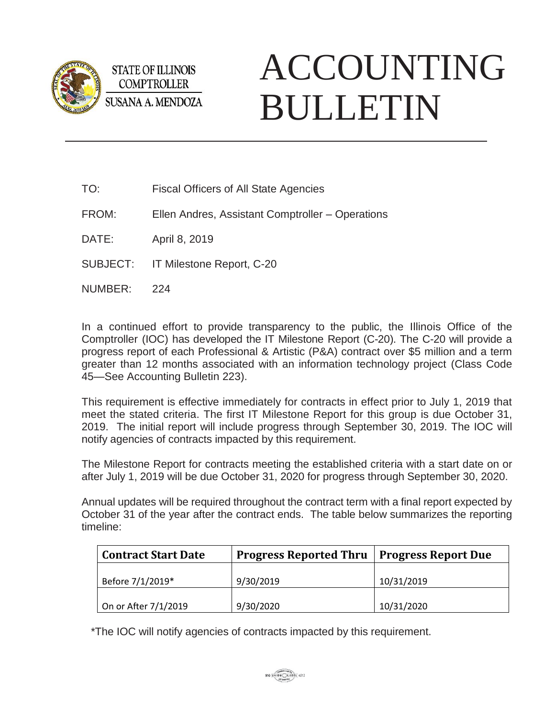

**STATE OF ILLINOIS COMPTROLLER** SUSANA A. MENDOZA

## ACCOUNTING BULLETIN

TO: Fiscal Officers of All State Agencies

FROM: Ellen Andres, Assistant Comptroller – Operations

DATE: April 8, 2019

SUBJECT: IT Milestone Report, C-20

NUMBER: 224

In a continued effort to provide transparency to the public, the Illinois Office of the Comptroller (IOC) has developed the IT Milestone Report (C-20). The C-20 will provide a progress report of each Professional & Artistic (P&A) contract over \$5 million and a term greater than 12 months associated with an information technology project (Class Code 45—See Accounting Bulletin 223).

This requirement is effective immediately for contracts in effect prior to July 1, 2019 that meet the stated criteria. The first IT Milestone Report for this group is due October 31, 2019. The initial report will include progress through September 30, 2019. The IOC will notify agencies of contracts impacted by this requirement.

The Milestone Report for contracts meeting the established criteria with a start date on or after July 1, 2019 will be due October 31, 2020 for progress through September 30, 2020.

Annual updates will be required throughout the contract term with a final report expected by October 31 of the year after the contract ends. The table below summarizes the reporting timeline:

| <b>Contract Start Date</b> | <b>Progress Reported Thru   Progress Report Due</b> |            |
|----------------------------|-----------------------------------------------------|------------|
| Before 7/1/2019*           | 9/30/2019                                           | 10/31/2019 |
| On or After 7/1/2019       | 9/30/2020                                           | 10/31/2020 |

\*The IOC will notify agencies of contracts impacted by this requirement.

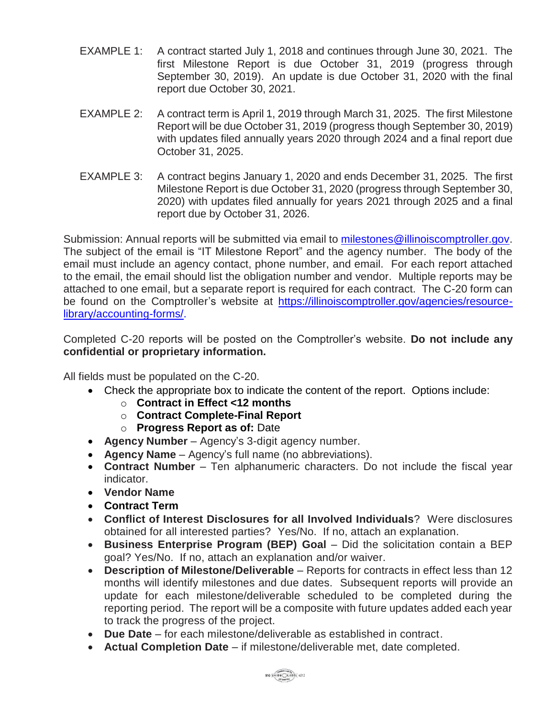- EXAMPLE 1: A contract started July 1, 2018 and continues through June 30, 2021. The first Milestone Report is due October 31, 2019 (progress through September 30, 2019). An update is due October 31, 2020 with the final report due October 30, 2021.
- EXAMPLE 2: A contract term is April 1, 2019 through March 31, 2025. The first Milestone Report will be due October 31, 2019 (progress though September 30, 2019) with updates filed annually years 2020 through 2024 and a final report due October 31, 2025.
- EXAMPLE 3: A contract begins January 1, 2020 and ends December 31, 2025. The first Milestone Report is due October 31, 2020 (progress through September 30, 2020) with updates filed annually for years 2021 through 2025 and a final report due by October 31, 2026.

Submission: Annual reports will be submitted via email to [milestones@illinoiscomptroller.gov.](mailto:milestones@illinoiscomptroller.gov) The subject of the email is "IT Milestone Report" and the agency number. The body of the email must include an agency contact, phone number, and email. For each report attached to the email, the email should list the obligation number and vendor. Multiple reports may be attached to one email, but a separate report is required for each contract. The C-20 form can be found on the Comptroller's website at [https://illinoiscomptroller.gov/agencies/resource](https://illinoiscomptroller.gov/agencies/resource-library/accounting-forms/)[library/accounting-forms/.](https://illinoiscomptroller.gov/agencies/resource-library/accounting-forms/)

Completed C-20 reports will be posted on the Comptroller's website. **Do not include any confidential or proprietary information.**

All fields must be populated on the C-20.

- Check the appropriate box to indicate the content of the report. Options include:
	- o **Contract in Effect <12 months**
	- o **Contract Complete-Final Report**
	- o **Progress Report as of:** Date
- **Agency Number** Agency's 3-digit agency number.
- **Agency Name** Agency's full name (no abbreviations).
- **Contract Number** Ten alphanumeric characters. Do not include the fiscal year indicator.
- **Vendor Name**
- **Contract Term**
- **Conflict of Interest Disclosures for all Involved Individuals**? Were disclosures obtained for all interested parties? Yes/No. If no, attach an explanation.
- **Business Enterprise Program (BEP) Goal**  Did the solicitation contain a BEP goal? Yes/No. If no, attach an explanation and/or waiver.
- **Description of Milestone/Deliverable** Reports for contracts in effect less than 12 months will identify milestones and due dates. Subsequent reports will provide an update for each milestone/deliverable scheduled to be completed during the reporting period. The report will be a composite with future updates added each year to track the progress of the project.
- **Due Date** for each milestone/deliverable as established in contract.
- **Actual Completion Date** if milestone/deliverable met, date completed.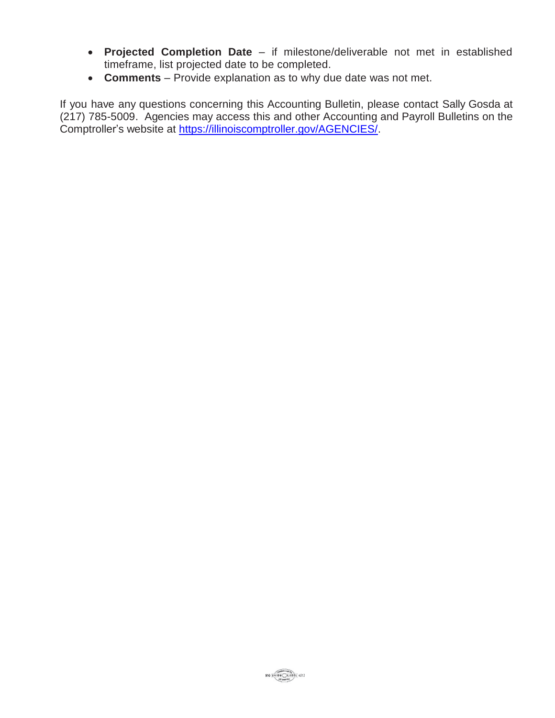- **Projected Completion Date** if milestone/deliverable not met in established timeframe, list projected date to be completed.
- **Comments** Provide explanation as to why due date was not met.

If you have any questions concerning this Accounting Bulletin, please contact Sally Gosda at (217) 785-5009. Agencies may access this and other Accounting and Payroll Bulletins on the Comptroller's website at [https://illinoiscomptroller.gov/AGENCIES/.](https://illinoiscomptroller.gov/AGENCIES/)